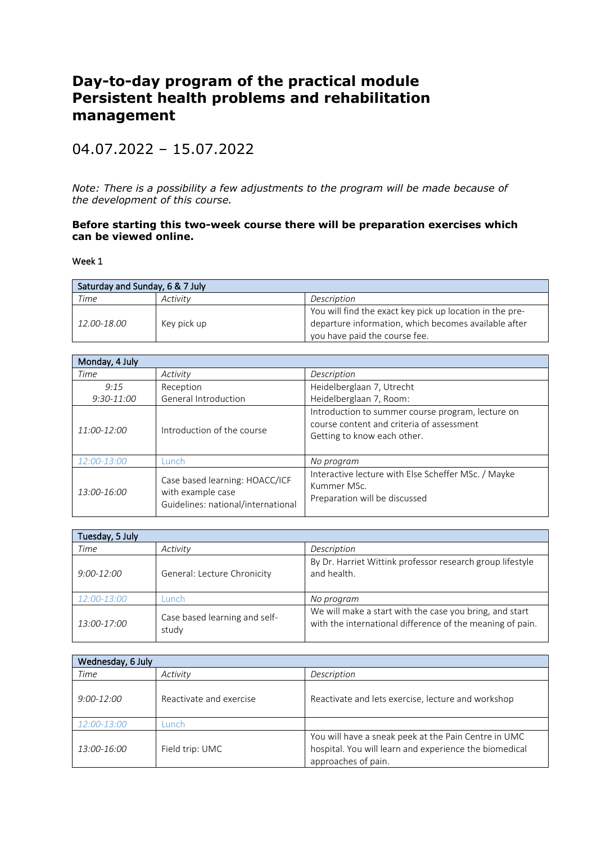## **Day-to-day program of the practical module Persistent health problems and rehabilitation management**

## 04.07.2022 – 15.07.2022

*Note: There is a possibility a few adjustments to the program will be made because of the development of this course.*

## **Before starting this two-week course there will be preparation exercises which can be viewed online.**

Week 1

| Saturday and Sunday, 6 & 7 July |             |                                                          |
|---------------------------------|-------------|----------------------------------------------------------|
| Time                            | Activity    | Description                                              |
|                                 |             | You will find the exact key pick up location in the pre- |
| 12.00-18.00                     | Key pick up | departure information, which becomes available after     |
|                                 |             | you have paid the course fee.                            |

| Monday, 4 July |                                                                                           |                                                                                                                               |
|----------------|-------------------------------------------------------------------------------------------|-------------------------------------------------------------------------------------------------------------------------------|
| Time           | Activity                                                                                  | Description                                                                                                                   |
| 9:15           | Reception                                                                                 | Heidelberglaan 7, Utrecht                                                                                                     |
| 9:30-11:00     | General Introduction                                                                      | Heidelberglaan 7, Room:                                                                                                       |
| 11:00-12:00    | Introduction of the course                                                                | Introduction to summer course program, lecture on<br>course content and criteria of assessment<br>Getting to know each other. |
| 12:00-13:00    | unch-                                                                                     | No program                                                                                                                    |
| 13:00-16:00    | Case based learning: HOACC/ICF<br>with example case<br>Guidelines: national/international | Interactive lecture with Else Scheffer MSc. / Mayke<br>Kummer MSc.<br>Preparation will be discussed                           |

| Tuesday, 5 July |                                        |                                                                                                                      |
|-----------------|----------------------------------------|----------------------------------------------------------------------------------------------------------------------|
| Time            | Activity                               | Description                                                                                                          |
| $9:00 - 12:00$  | General: Lecture Chronicity            | By Dr. Harriet Wittink professor research group lifestyle<br>and health.                                             |
| 12:00-13:00     | .unch                                  | No program                                                                                                           |
| 13:00-17:00     | Case based learning and self-<br>study | We will make a start with the case you bring, and start<br>with the international difference of the meaning of pain. |

| Wednesday, 6 July |                         |                                                                                                                                       |
|-------------------|-------------------------|---------------------------------------------------------------------------------------------------------------------------------------|
| Time              | Activity                | Description                                                                                                                           |
| $9:00 - 12:00$    | Reactivate and exercise | Reactivate and lets exercise, lecture and workshop                                                                                    |
| 12:00-13:00       | unch.                   |                                                                                                                                       |
| 13:00-16:00       | Field trip: UMC         | You will have a sneak peek at the Pain Centre in UMC<br>hospital. You will learn and experience the biomedical<br>approaches of pain. |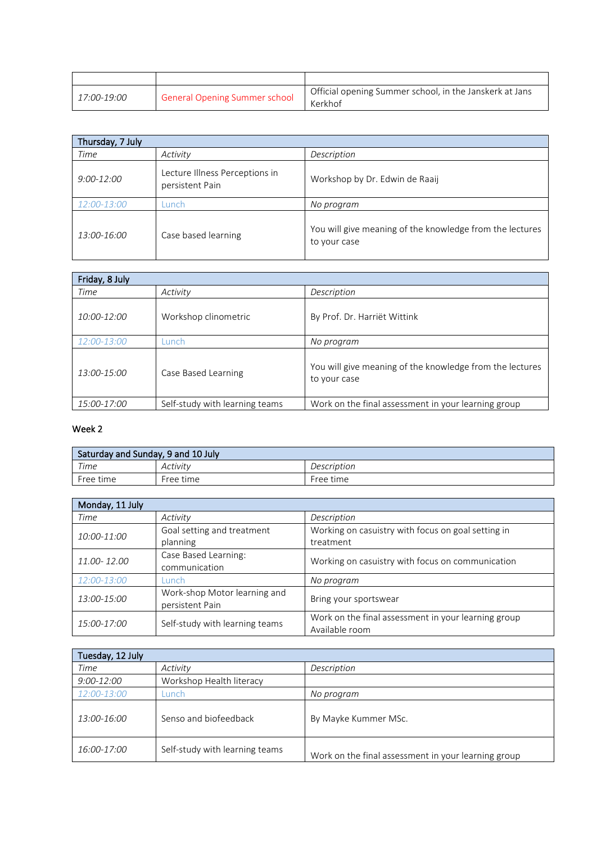| 17:00-19:00 | General Opening Summer school | Official opening Summer school, in the Janskerk at Jans<br>Kerkhof |
|-------------|-------------------------------|--------------------------------------------------------------------|

| Thursday, 7 July   |                                                   |                                                                          |
|--------------------|---------------------------------------------------|--------------------------------------------------------------------------|
| Time               | Activity                                          | Description                                                              |
| 9:00-12:00         | Lecture Illness Perceptions in<br>persistent Pain | Workshop by Dr. Edwin de Raaij                                           |
| <i>12:00-13:00</i> | .unch                                             | No program                                                               |
| 13:00-16:00        | Case based learning                               | You will give meaning of the knowledge from the lectures<br>to your case |

| Friday, 8 July     |                                |                                                                          |
|--------------------|--------------------------------|--------------------------------------------------------------------------|
| Time               | Activity                       | Description                                                              |
| 10:00-12:00        | Workshop clinometric           | By Prof. Dr. Harriët Wittink                                             |
| <i>12:00-13:00</i> | Lunch.                         | No program                                                               |
| 13:00-15:00        | Case Based Learning            | You will give meaning of the knowledge from the lectures<br>to your case |
| 15:00-17:00        | Self-study with learning teams | Work on the final assessment in your learning group                      |

## Week 2

| Saturday and Sunday, 9 and 10 July |           |             |
|------------------------------------|-----------|-------------|
| Time                               | Activity  | Description |
| Free time                          | Free time | Free time   |

| Monday, 11 July |                                |                                                     |
|-----------------|--------------------------------|-----------------------------------------------------|
| Time            | Activity                       | Description                                         |
| 10:00-11:00     | Goal setting and treatment     | Working on casuistry with focus on goal setting in  |
|                 | planning                       | treatment                                           |
| 11.00 - 12.00   | Case Based Learning:           | Working on casuistry with focus on communication    |
|                 | communication                  |                                                     |
| 12:00-13:00     | _unch                          | No program                                          |
| 13:00-15:00     | Work-shop Motor learning and   | Bring your sportswear                               |
|                 | persistent Pain                |                                                     |
| 15:00-17:00     | Self-study with learning teams | Work on the final assessment in your learning group |
|                 |                                | Available room                                      |

| Tuesday, 12 July |                                |                                                     |
|------------------|--------------------------------|-----------------------------------------------------|
| Time             | Activity                       | Description                                         |
| 9:00-12:00       | Workshop Health literacy       |                                                     |
| 12:00-13:00      | .unch                          | No program                                          |
| 13:00-16:00      | Senso and biofeedback          | By Mayke Kummer MSc.                                |
| 16:00-17:00      | Self-study with learning teams | Work on the final assessment in your learning group |